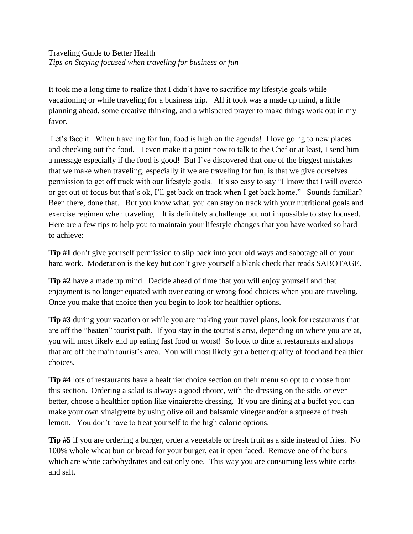## Traveling Guide to Better Health *Tips on Staying focused when traveling for business or fun*

It took me a long time to realize that I didn't have to sacrifice my lifestyle goals while vacationing or while traveling for a business trip. All it took was a made up mind, a little planning ahead, some creative thinking, and a whispered prayer to make things work out in my favor.

Let's face it. When traveling for fun, food is high on the agenda! I love going to new places and checking out the food. I even make it a point now to talk to the Chef or at least, I send him a message especially if the food is good! But I've discovered that one of the biggest mistakes that we make when traveling, especially if we are traveling for fun, is that we give ourselves permission to get off track with our lifestyle goals. It's so easy to say "I know that I will overdo or get out of focus but that's ok, I'll get back on track when I get back home." Sounds familiar? Been there, done that. But you know what, you can stay on track with your nutritional goals and exercise regimen when traveling. It is definitely a challenge but not impossible to stay focused. Here are a few tips to help you to maintain your lifestyle changes that you have worked so hard to achieve:

**Tip #1** don't give yourself permission to slip back into your old ways and sabotage all of your hard work. Moderation is the key but don't give yourself a blank check that reads SABOTAGE.

**Tip #2** have a made up mind. Decide ahead of time that you will enjoy yourself and that enjoyment is no longer equated with over eating or wrong food choices when you are traveling. Once you make that choice then you begin to look for healthier options.

**Tip #3** during your vacation or while you are making your travel plans, look for restaurants that are off the "beaten" tourist path. If you stay in the tourist's area, depending on where you are at, you will most likely end up eating fast food or worst! So look to dine at restaurants and shops that are off the main tourist's area. You will most likely get a better quality of food and healthier choices.

**Tip #4** lots of restaurants have a healthier choice section on their menu so opt to choose from this section. Ordering a salad is always a good choice, with the dressing on the side, or even better, choose a healthier option like vinaigrette dressing. If you are dining at a buffet you can make your own vinaigrette by using olive oil and balsamic vinegar and/or a squeeze of fresh lemon. You don't have to treat yourself to the high caloric options.

**Tip #5** if you are ordering a burger, order a vegetable or fresh fruit as a side instead of fries. No 100% whole wheat bun or bread for your burger, eat it open faced. Remove one of the buns which are white carbohydrates and eat only one. This way you are consuming less white carbs and salt.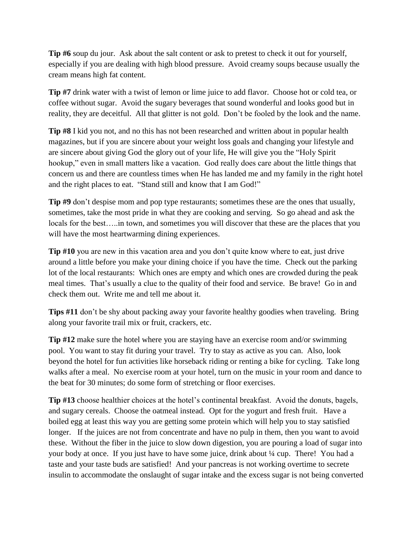**Tip #6** soup du jour. Ask about the salt content or ask to pretest to check it out for yourself, especially if you are dealing with high blood pressure. Avoid creamy soups because usually the cream means high fat content.

**Tip #7** drink water with a twist of lemon or lime juice to add flavor. Choose hot or cold tea, or coffee without sugar. Avoid the sugary beverages that sound wonderful and looks good but in reality, they are deceitful. All that glitter is not gold. Don't be fooled by the look and the name.

**Tip #8** I kid you not, and no this has not been researched and written about in popular health magazines, but if you are sincere about your weight loss goals and changing your lifestyle and are sincere about giving God the glory out of your life, He will give you the "Holy Spirit hookup," even in small matters like a vacation. God really does care about the little things that concern us and there are countless times when He has landed me and my family in the right hotel and the right places to eat. "Stand still and know that I am God!"

**Tip #9** don't despise mom and pop type restaurants; sometimes these are the ones that usually, sometimes, take the most pride in what they are cooking and serving. So go ahead and ask the locals for the best…..in town, and sometimes you will discover that these are the places that you will have the most heartwarming dining experiences.

**Tip #10** you are new in this vacation area and you don't quite know where to eat, just drive around a little before you make your dining choice if you have the time. Check out the parking lot of the local restaurants: Which ones are empty and which ones are crowded during the peak meal times. That's usually a clue to the quality of their food and service. Be brave! Go in and check them out. Write me and tell me about it.

**Tips #11** don't be shy about packing away your favorite healthy goodies when traveling. Bring along your favorite trail mix or fruit, crackers, etc.

**Tip #12** make sure the hotel where you are staying have an exercise room and/or swimming pool. You want to stay fit during your travel. Try to stay as active as you can. Also, look beyond the hotel for fun activities like horseback riding or renting a bike for cycling. Take long walks after a meal. No exercise room at your hotel, turn on the music in your room and dance to the beat for 30 minutes; do some form of stretching or floor exercises.

**Tip #13** choose healthier choices at the hotel's continental breakfast. Avoid the donuts, bagels, and sugary cereals. Choose the oatmeal instead. Opt for the yogurt and fresh fruit. Have a boiled egg at least this way you are getting some protein which will help you to stay satisfied longer. If the juices are not from concentrate and have no pulp in them, then you want to avoid these. Without the fiber in the juice to slow down digestion, you are pouring a load of sugar into your body at once. If you just have to have some juice, drink about ¼ cup. There! You had a taste and your taste buds are satisfied! And your pancreas is not working overtime to secrete insulin to accommodate the onslaught of sugar intake and the excess sugar is not being converted